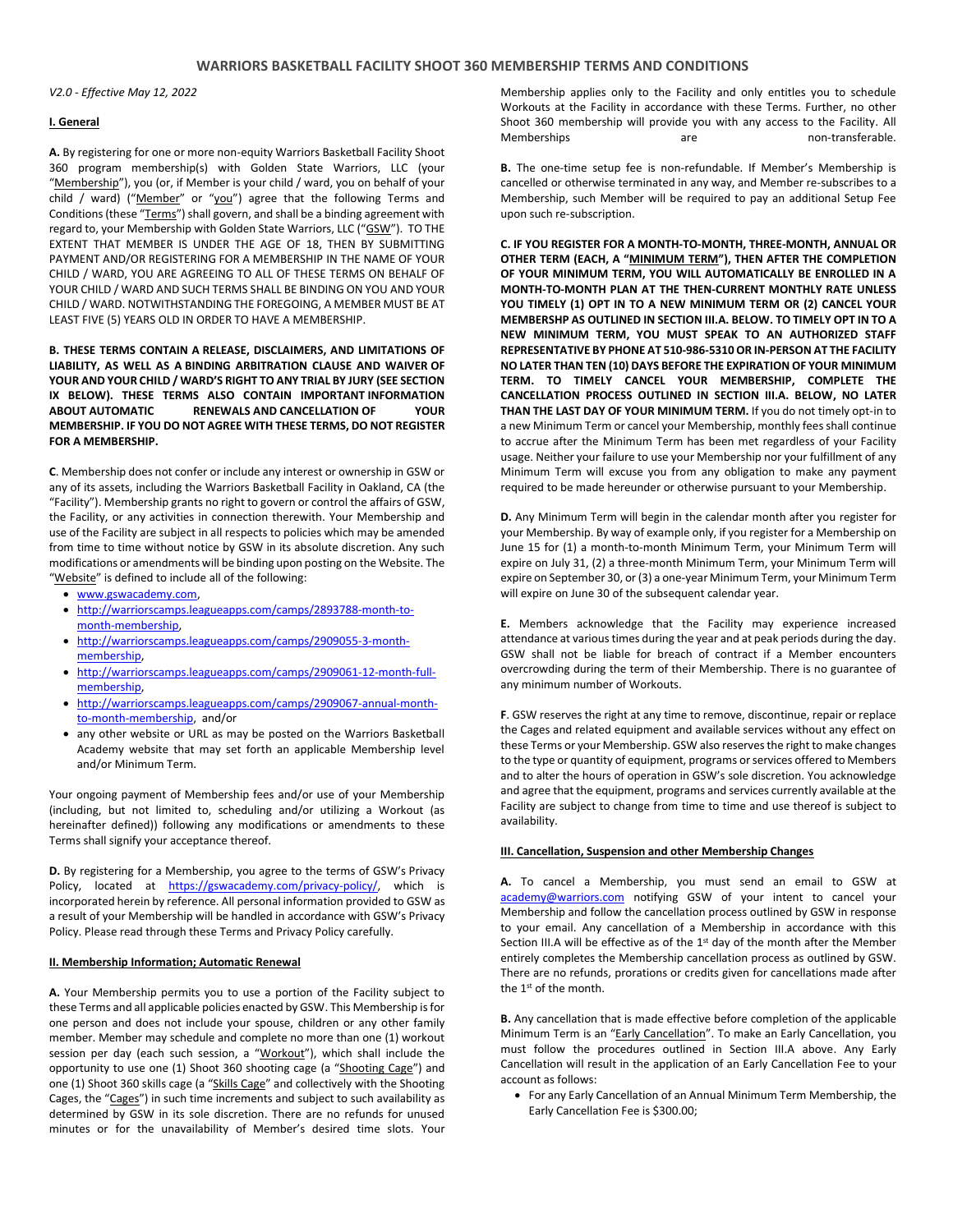*V2.0 - Effective May 12, 2022*

## **I. General**

**A.** By registering for one or more non-equity Warriors Basketball Facility Shoot 360 program membership(s) with Golden State Warriors, LLC (your "Membership"), you (or, if Member is your child / ward, you on behalf of your child / ward) ("Member" or "you") agree that the following Terms and Conditions (these "Terms") shall govern, and shall be a binding agreement with regard to, your Membership with Golden State Warriors, LLC ("GSW"). TO THE EXTENT THAT MEMBER IS UNDER THE AGE OF 18, THEN BY SUBMITTING PAYMENT AND/OR REGISTERING FOR A MEMBERSHIP IN THE NAME OF YOUR CHILD / WARD, YOU ARE AGREEING TO ALL OF THESE TERMS ON BEHALF OF YOUR CHILD / WARD AND SUCH TERMS SHALL BE BINDING ON YOU AND YOUR CHILD / WARD. NOTWITHSTANDING THE FOREGOING, A MEMBER MUST BE AT LEAST FIVE (5) YEARS OLD IN ORDER TO HAVE A MEMBERSHIP.

**B. THESE TERMS CONTAIN A RELEASE, DISCLAIMERS, AND LIMITATIONS OF LIABILITY, AS WELL AS A BINDING ARBITRATION CLAUSE AND WAIVER OF YOUR AND YOUR CHILD / WARD'S RIGHT TO ANY TRIAL BY JURY (SEE SECTION IX BELOW). THESE TERMS ALSO CONTAIN IMPORTANT INFORMATION ABOUT AUTOMATIC RENEWALS AND CANCELLATION OF YOUR MEMBERSHIP. IF YOU DO NOT AGREE WITH THESE TERMS, DO NOT REGISTER FOR A MEMBERSHIP.**

**C**. Membership does not confer or include any interest or ownership in GSW or any of its assets, including the Warriors Basketball Facility in Oakland, CA (the "Facility"). Membership grants no right to govern or control the affairs of GSW, the Facility, or any activities in connection therewith. Your Membership and use of the Facility are subject in all respects to policies which may be amended from time to time without notice by GSW in its absolute discretion. Any such modifications or amendments will be binding upon posting on the Website. The "Website" is defined to include all of the following:

- [www.gswacademy.com,](http://www.gswacademy.com/)
- [http://warriorscamps.leagueapps.com/camps/2893788-month-to](http://warriorscamps.leagueapps.com/camps/2893788-month-to-month-membership)[month-membership,](http://warriorscamps.leagueapps.com/camps/2893788-month-to-month-membership)
- [http://warriorscamps.leagueapps.com/camps/2909055-3-month](http://warriorscamps.leagueapps.com/camps/2909055-3-month-membership)[membership,](http://warriorscamps.leagueapps.com/camps/2909055-3-month-membership)
- [http://warriorscamps.leagueapps.com/camps/2909061-12-month-full](http://warriorscamps.leagueapps.com/camps/2909061-12-month-full-membership)[membership,](http://warriorscamps.leagueapps.com/camps/2909061-12-month-full-membership)
- [http://warriorscamps.leagueapps.com/camps/2909067-annual-month](http://warriorscamps.leagueapps.com/camps/2909067-annual-month-to-month-membership)[to-month-membership,](http://warriorscamps.leagueapps.com/camps/2909067-annual-month-to-month-membership) and/or
- any other website or URL as may be posted on the Warriors Basketball Academy website that may set forth an applicable Membership level and/or Minimum Term.

Your ongoing payment of Membership fees and/or use of your Membership (including, but not limited to, scheduling and/or utilizing a Workout (as hereinafter defined)) following any modifications or amendments to these Terms shall signify your acceptance thereof.

**D.** By registering for a Membership, you agree to the terms of GSW's Privacy Policy, located at [https://gswacademy.com/privacy-policy/,](https://gswacademy.com/privacy-policy/) which is incorporated herein by reference. All personal information provided to GSW as a result of your Membership will be handled in accordance with GSW's Privacy Policy. Please read through these Terms and Privacy Policy carefully.

# **II. Membership Information; Automatic Renewal**

**A.** Your Membership permits you to use a portion of the Facility subject to these Terms and all applicable policies enacted by GSW. This Membership is for one person and does not include your spouse, children or any other family member. Member may schedule and complete no more than one (1) workout session per day (each such session, a "Workout"), which shall include the opportunity to use one (1) Shoot 360 shooting cage (a "Shooting Cage") and one (1) Shoot 360 skills cage (a "Skills Cage" and collectively with the Shooting Cages, the "Cages") in such time increments and subject to such availability as determined by GSW in its sole discretion. There are no refunds for unused minutes or for the unavailability of Member's desired time slots. Your

Membership applies only to the Facility and only entitles you to schedule Workouts at the Facility in accordance with these Terms. Further, no other Shoot 360 membership will provide you with any access to the Facility. All Memberships are are non-transferable.

**B.** The one-time setup fee is non-refundable. If Member's Membership is cancelled or otherwise terminated in any way, and Member re-subscribes to a Membership, such Member will be required to pay an additional Setup Fee upon such re-subscription.

**C. IF YOU REGISTER FOR A MONTH-TO-MONTH, THREE-MONTH, ANNUAL OR OTHER TERM (EACH, A "MINIMUM TERM"), THEN AFTER THE COMPLETION OF YOUR MINIMUM TERM, YOU WILL AUTOMATICALLY BE ENROLLED IN A MONTH-TO-MONTH PLAN AT THE THEN-CURRENT MONTHLY RATE UNLESS YOU TIMELY (1) OPT IN TO A NEW MINIMUM TERM OR (2) CANCEL YOUR MEMBERSHP AS OUTLINED IN SECTION III.A. BELOW. TO TIMELY OPT IN TO A NEW MINIMUM TERM, YOU MUST SPEAK TO AN AUTHORIZED STAFF REPRESENTATIVE BY PHONE AT 510-986-5310 OR IN-PERSON AT THE FACILITY NO LATER THAN TEN (10) DAYS BEFORE THE EXPIRATION OF YOUR MINIMUM TERM. TO TIMELY CANCEL YOUR MEMBERSHIP, COMPLETE THE CANCELLATION PROCESS OUTLINED IN SECTION III.A. BELOW, NO LATER THAN THE LAST DAY OF YOUR MINIMUM TERM.** If you do not timely opt-in to a new Minimum Term or cancel your Membership, monthly fees shall continue to accrue after the Minimum Term has been met regardless of your Facility usage. Neither your failure to use your Membership nor your fulfillment of any Minimum Term will excuse you from any obligation to make any payment required to be made hereunder or otherwise pursuant to your Membership.

**D.** Any Minimum Term will begin in the calendar month after you register for your Membership. By way of example only, if you register for a Membership on June 15 for (1) a month-to-month Minimum Term, your Minimum Term will expire on July 31, (2) a three-month Minimum Term, your Minimum Term will expire on September 30, or (3) a one-year Minimum Term, your Minimum Term will expire on June 30 of the subsequent calendar year.

**E.** Members acknowledge that the Facility may experience increased attendance at various times during the year and at peak periods during the day. GSW shall not be liable for breach of contract if a Member encounters overcrowding during the term of their Membership. There is no guarantee of any minimum number of Workouts.

**F**. GSW reserves the right at any time to remove, discontinue, repair or replace the Cages and related equipment and available services without any effect on these Terms or your Membership. GSW also reserves the right to make changes to the type or quantity of equipment, programs or services offered to Members and to alter the hours of operation in GSW's sole discretion. You acknowledge and agree that the equipment, programs and services currently available at the Facility are subject to change from time to time and use thereof is subject to availability.

### **III. Cancellation, Suspension and other Membership Changes**

**A.** To cancel a Membership, you must send an email to GSW at [academy@warriors.com](mailto:academy@warriors.com) notifying GSW of your intent to cancel your Membership and follow the cancellation process outlined by GSW in response to your email. Any cancellation of a Membership in accordance with this Section III.A will be effective as of the  $1<sup>st</sup>$  day of the month after the Member entirely completes the Membership cancellation process as outlined by GSW. There are no refunds, prorations or credits given for cancellations made after the 1st of the month.

**B.** Any cancellation that is made effective before completion of the applicable Minimum Term is an "Early Cancellation". To make an Early Cancellation, you must follow the procedures outlined in Section III.A above. Any Early Cancellation will result in the application of an Early Cancellation Fee to your account as follows:

• For any Early Cancellation of an Annual Minimum Term Membership, the Early Cancellation Fee is \$300.00;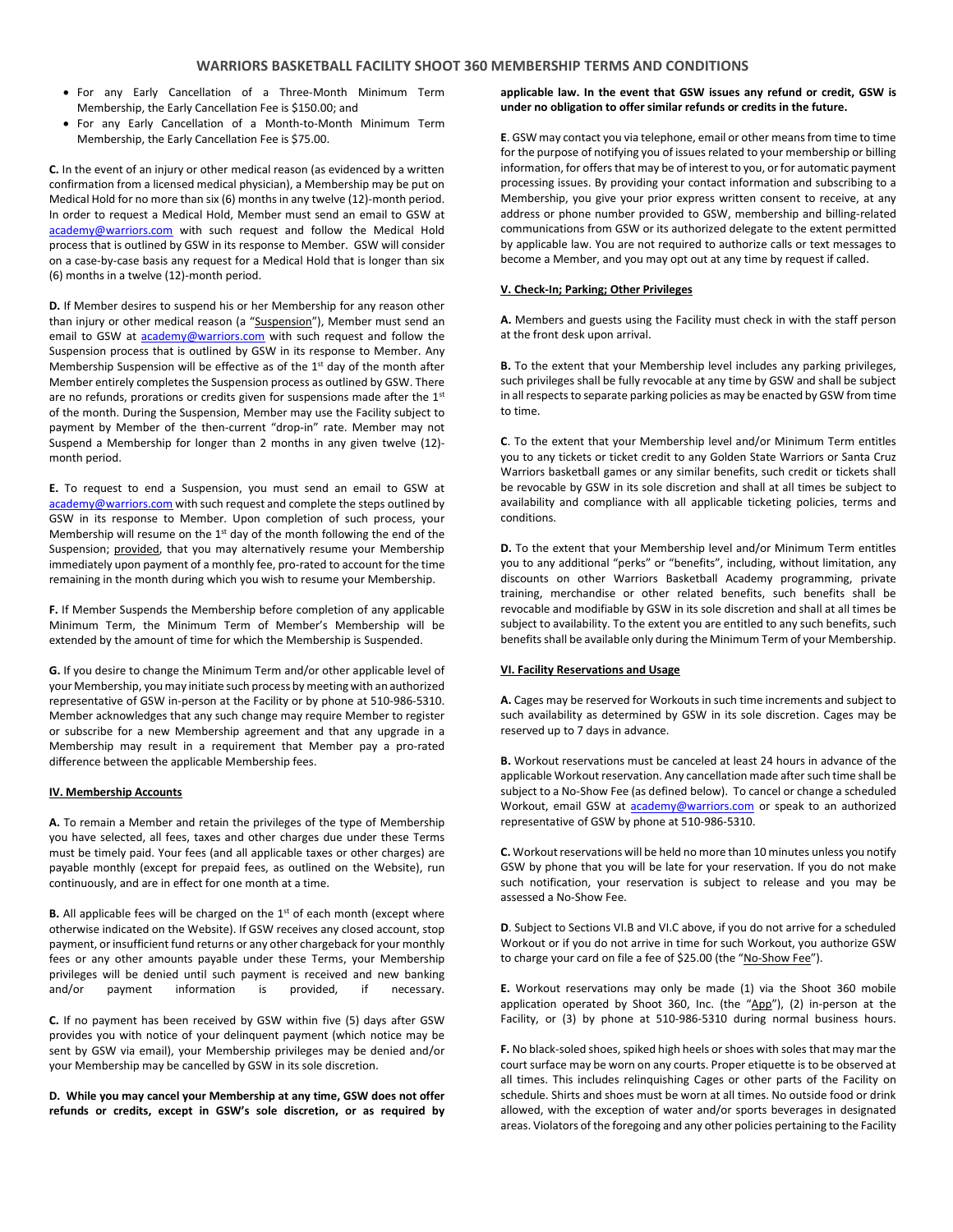- For any Early Cancellation of a Three-Month Minimum Term Membership, the Early Cancellation Fee is \$150.00; and
- For any Early Cancellation of a Month-to-Month Minimum Term Membership, the Early Cancellation Fee is \$75.00.

**C.** In the event of an injury or other medical reason (as evidenced by a written confirmation from a licensed medical physician), a Membership may be put on Medical Hold for no more than six (6) months in any twelve (12)-month period. In order to request a Medical Hold, Member must send an email to GSW at [academy@warriors.com](mailto:academy@warriors.com) with such request and follow the Medical Hold process that is outlined by GSW in its response to Member. GSW will consider on a case-by-case basis any request for a Medical Hold that is longer than six (6) months in a twelve (12)-month period.

**D.** If Member desires to suspend his or her Membership for any reason other than injury or other medical reason (a "Suspension"), Member must send an email to GSW at [academy@warriors.com](mailto:academy@warriors.com) with such request and follow the Suspension process that is outlined by GSW in its response to Member. Any Membership Suspension will be effective as of the  $1<sup>st</sup>$  day of the month after Member entirely completes the Suspension process as outlined by GSW. There are no refunds, prorations or credits given for suspensions made after the 1st of the month. During the Suspension, Member may use the Facility subject to payment by Member of the then-current "drop-in" rate. Member may not Suspend a Membership for longer than 2 months in any given twelve (12) month period.

**E.** To request to end a Suspension, you must send an email to GSW at [academy@warriors.com](mailto:academy@warriors.com) with such request and complete the steps outlined by GSW in its response to Member. Upon completion of such process, your Membership will resume on the 1<sup>st</sup> day of the month following the end of the Suspension; provided, that you may alternatively resume your Membership immediately upon payment of a monthly fee, pro-rated to account for the time remaining in the month during which you wish to resume your Membership.

**F.** If Member Suspends the Membership before completion of any applicable Minimum Term, the Minimum Term of Member's Membership will be extended by the amount of time for which the Membership is Suspended.

**G.** If you desire to change the Minimum Term and/or other applicable level of your Membership, you may initiate such process by meeting with an authorized representative of GSW in-person at the Facility or by phone at 510-986-5310. Member acknowledges that any such change may require Member to register or subscribe for a new Membership agreement and that any upgrade in a Membership may result in a requirement that Member pay a pro-rated difference between the applicable Membership fees.

#### **IV. Membership Accounts**

**A.** To remain a Member and retain the privileges of the type of Membership you have selected, all fees, taxes and other charges due under these Terms must be timely paid. Your fees (and all applicable taxes or other charges) are payable monthly (except for prepaid fees, as outlined on the Website), run continuously, and are in effect for one month at a time.

**B.** All applicable fees will be charged on the 1st of each month (except where otherwise indicated on the Website). If GSW receives any closed account, stop payment, or insufficient fund returns or any other chargeback for your monthly fees or any other amounts payable under these Terms, your Membership privileges will be denied until such payment is received and new banking and/or payment information is provided, if necessary.

**C.** If no payment has been received by GSW within five (5) days after GSW provides you with notice of your delinquent payment (which notice may be sent by GSW via email), your Membership privileges may be denied and/or your Membership may be cancelled by GSW in its sole discretion.

**D. While you may cancel your Membership at any time, GSW does not offer refunds or credits, except in GSW's sole discretion, or as required by** 

### **applicable law. In the event that GSW issues any refund or credit, GSW is under no obligation to offer similar refunds or credits in the future.**

**E**. GSW may contact you via telephone, email or other means from time to time for the purpose of notifying you of issues related to your membership or billing information, for offers that may be of interest to you, or for automatic payment processing issues. By providing your contact information and subscribing to a Membership, you give your prior express written consent to receive, at any address or phone number provided to GSW, membership and billing-related communications from GSW or its authorized delegate to the extent permitted by applicable law. You are not required to authorize calls or text messages to become a Member, and you may opt out at any time by request if called.

### **V. Check-In; Parking; Other Privileges**

**A.** Members and guests using the Facility must check in with the staff person at the front desk upon arrival.

**B.** To the extent that your Membership level includes any parking privileges, such privileges shall be fully revocable at any time by GSW and shall be subject in all respects to separate parking policies as may be enacted by GSW from time to time.

**C**. To the extent that your Membership level and/or Minimum Term entitles you to any tickets or ticket credit to any Golden State Warriors or Santa Cruz Warriors basketball games or any similar benefits, such credit or tickets shall be revocable by GSW in its sole discretion and shall at all times be subject to availability and compliance with all applicable ticketing policies, terms and conditions.

**D.** To the extent that your Membership level and/or Minimum Term entitles you to any additional "perks" or "benefits", including, without limitation, any discounts on other Warriors Basketball Academy programming, private training, merchandise or other related benefits, such benefits shall be revocable and modifiable by GSW in its sole discretion and shall at all times be subject to availability. To the extent you are entitled to any such benefits, such benefits shall be available only during the Minimum Term of your Membership.

# **VI. Facility Reservations and Usage**

**A.** Cages may be reserved for Workouts in such time increments and subject to such availability as determined by GSW in its sole discretion. Cages may be reserved up to 7 days in advance.

**B.** Workout reservations must be canceled at least 24 hours in advance of the applicable Workout reservation. Any cancellation made after such time shall be subject to a No-Show Fee (as defined below). To cancel or change a scheduled Workout, email GSW at **academy@warriors.com** or speak to an authorized representative of GSW by phone at 510-986-5310.

**C.** Workout reservations will be held no more than 10 minutes unless you notify GSW by phone that you will be late for your reservation. If you do not make such notification, your reservation is subject to release and you may be assessed a No-Show Fee.

**D**. Subject to Sections VI.B and VI.C above, if you do not arrive for a scheduled Workout or if you do not arrive in time for such Workout, you authorize GSW to charge your card on file a fee of \$25.00 (the "No-Show Fee").

**E.** Workout reservations may only be made (1) via the Shoot 360 mobile application operated by Shoot 360, Inc. (the "App"), (2) in-person at the Facility, or (3) by phone at 510-986-5310 during normal business hours.

**F.** No black-soled shoes, spiked high heels or shoes with soles that may mar the court surface may be worn on any courts. Proper etiquette is to be observed at all times. This includes relinquishing Cages or other parts of the Facility on schedule. Shirts and shoes must be worn at all times. No outside food or drink allowed, with the exception of water and/or sports beverages in designated areas. Violators of the foregoing and any other policies pertaining to the Facility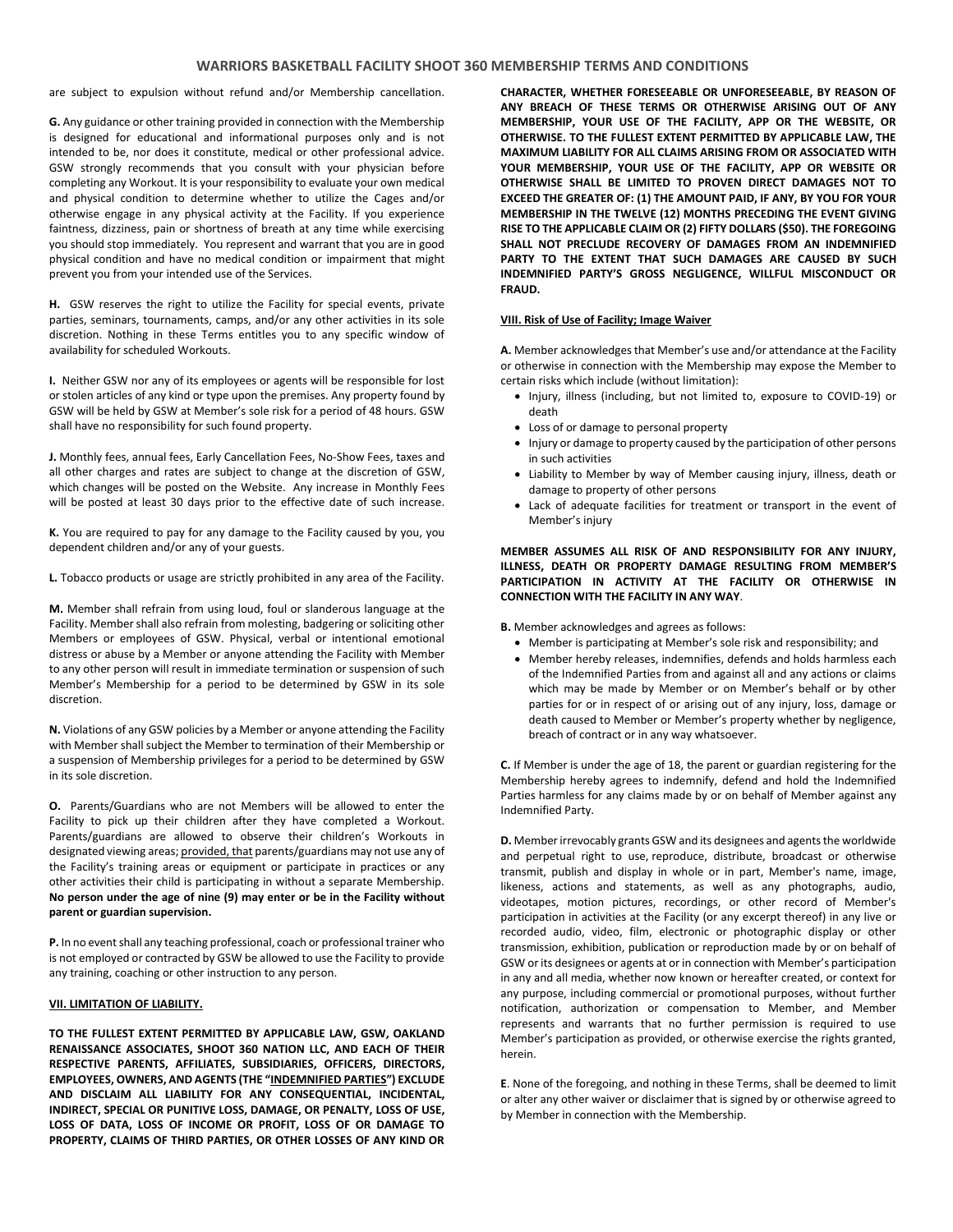# **WARRIORS BASKETBALL FACILITY SHOOT 360 MEMBERSHIP TERMS AND CONDITIONS**

are subject to expulsion without refund and/or Membership cancellation.

**G.** Any guidance or other training provided in connection with the Membership is designed for educational and informational purposes only and is not intended to be, nor does it constitute, medical or other professional advice. GSW strongly recommends that you consult with your physician before completing any Workout. It is your responsibility to evaluate your own medical and physical condition to determine whether to utilize the Cages and/or otherwise engage in any physical activity at the Facility. If you experience faintness, dizziness, pain or shortness of breath at any time while exercising you should stop immediately. You represent and warrant that you are in good physical condition and have no medical condition or impairment that might prevent you from your intended use of the Services.

**H.** GSW reserves the right to utilize the Facility for special events, private parties, seminars, tournaments, camps, and/or any other activities in its sole discretion. Nothing in these Terms entitles you to any specific window of availability for scheduled Workouts.

**I.** Neither GSW nor any of its employees or agents will be responsible for lost or stolen articles of any kind or type upon the premises. Any property found by GSW will be held by GSW at Member's sole risk for a period of 48 hours. GSW shall have no responsibility for such found property.

**J.** Monthly fees, annual fees, Early Cancellation Fees, No-Show Fees, taxes and all other charges and rates are subject to change at the discretion of GSW, which changes will be posted on the Website. Any increase in Monthly Fees will be posted at least 30 days prior to the effective date of such increase.

**K.** You are required to pay for any damage to the Facility caused by you, you dependent children and/or any of your guests.

**L.** Tobacco products or usage are strictly prohibited in any area of the Facility.

**M.** Member shall refrain from using loud, foul or slanderous language at the Facility. Member shall also refrain from molesting, badgering or soliciting other Members or employees of GSW. Physical, verbal or intentional emotional distress or abuse by a Member or anyone attending the Facility with Member to any other person will result in immediate termination or suspension of such Member's Membership for a period to be determined by GSW in its sole discretion.

**N.** Violations of any GSW policies by a Member or anyone attending the Facility with Member shall subject the Member to termination of their Membership or a suspension of Membership privileges for a period to be determined by GSW in its sole discretion.

**O.** Parents/Guardians who are not Members will be allowed to enter the Facility to pick up their children after they have completed a Workout. Parents/guardians are allowed to observe their children's Workouts in designated viewing areas; provided, that parents/guardians may not use any of the Facility's training areas or equipment or participate in practices or any other activities their child is participating in without a separate Membership. **No person under the age of nine (9) may enter or be in the Facility without parent or guardian supervision.**

**P.** In no event shall any teaching professional, coach or professional trainer who is not employed or contracted by GSW be allowed to use the Facility to provide any training, coaching or other instruction to any person.

#### **VII. LIMITATION OF LIABILITY.**

**TO THE FULLEST EXTENT PERMITTED BY APPLICABLE LAW, GSW, OAKLAND RENAISSANCE ASSOCIATES, SHOOT 360 NATION LLC, AND EACH OF THEIR RESPECTIVE PARENTS, AFFILIATES, SUBSIDIARIES, OFFICERS, DIRECTORS, EMPLOYEES, OWNERS, AND AGENTS (THE "INDEMNIFIED PARTIES") EXCLUDE AND DISCLAIM ALL LIABILITY FOR ANY CONSEQUENTIAL, INCIDENTAL, INDIRECT, SPECIAL OR PUNITIVE LOSS, DAMAGE, OR PENALTY, LOSS OF USE, LOSS OF DATA, LOSS OF INCOME OR PROFIT, LOSS OF OR DAMAGE TO PROPERTY, CLAIMS OF THIRD PARTIES, OR OTHER LOSSES OF ANY KIND OR** 

**CHARACTER, WHETHER FORESEEABLE OR UNFORESEEABLE, BY REASON OF ANY BREACH OF THESE TERMS OR OTHERWISE ARISING OUT OF ANY MEMBERSHIP, YOUR USE OF THE FACILITY, APP OR THE WEBSITE, OR OTHERWISE. TO THE FULLEST EXTENT PERMITTED BY APPLICABLE LAW, THE MAXIMUM LIABILITY FOR ALL CLAIMS ARISING FROM OR ASSOCIATED WITH YOUR MEMBERSHIP, YOUR USE OF THE FACILITY, APP OR WEBSITE OR OTHERWISE SHALL BE LIMITED TO PROVEN DIRECT DAMAGES NOT TO EXCEED THE GREATER OF: (1) THE AMOUNT PAID, IF ANY, BY YOU FOR YOUR MEMBERSHIP IN THE TWELVE (12) MONTHS PRECEDING THE EVENT GIVING RISE TO THE APPLICABLE CLAIM OR (2) FIFTY DOLLARS (\$50). THE FOREGOING SHALL NOT PRECLUDE RECOVERY OF DAMAGES FROM AN INDEMNIFIED PARTY TO THE EXTENT THAT SUCH DAMAGES ARE CAUSED BY SUCH INDEMNIFIED PARTY'S GROSS NEGLIGENCE, WILLFUL MISCONDUCT OR FRAUD.** 

## **VIII. Risk of Use of Facility; Image Waiver**

**A.** Member acknowledges that Member's use and/or attendance at the Facility or otherwise in connection with the Membership may expose the Member to certain risks which include (without limitation):

- Injury, illness (including, but not limited to, exposure to COVID-19) or death
- Loss of or damage to personal property
- Injury or damage to property caused by the participation of other persons in such activities
- Liability to Member by way of Member causing injury, illness, death or damage to property of other persons
- Lack of adequate facilities for treatment or transport in the event of Member's injury

# **MEMBER ASSUMES ALL RISK OF AND RESPONSIBILITY FOR ANY INJURY, ILLNESS, DEATH OR PROPERTY DAMAGE RESULTING FROM MEMBER'S PARTICIPATION IN ACTIVITY AT THE FACILITY OR OTHERWISE IN CONNECTION WITH THE FACILITY IN ANY WAY**.

**B.** Member acknowledges and agrees as follows:

- Member is participating at Member's sole risk and responsibility; and
- Member hereby releases, indemnifies, defends and holds harmless each of the Indemnified Parties from and against all and any actions or claims which may be made by Member or on Member's behalf or by other parties for or in respect of or arising out of any injury, loss, damage or death caused to Member or Member's property whether by negligence, breach of contract or in any way whatsoever.

**C.** If Member is under the age of 18, the parent or guardian registering for the Membership hereby agrees to indemnify, defend and hold the Indemnified Parties harmless for any claims made by or on behalf of Member against any Indemnified Party.

**D.** Member irrevocably grants GSW and its designees and agents the worldwide and perpetual right to use, reproduce, distribute, broadcast or otherwise transmit, publish and display in whole or in part, Member's name, image, likeness, actions and statements, as well as any photographs, audio, videotapes, motion pictures, recordings, or other record of Member's participation in activities at the Facility (or any excerpt thereof) in any live or recorded audio, video, film, electronic or photographic display or other transmission, exhibition, publication or reproduction made by or on behalf of GSW or its designees or agents at or in connection with Member's participation in any and all media, whether now known or hereafter created, or context for any purpose, including commercial or promotional purposes, without further notification, authorization or compensation to Member, and Member represents and warrants that no further permission is required to use Member's participation as provided, or otherwise exercise the rights granted, herein.

**E**. None of the foregoing, and nothing in these Terms, shall be deemed to limit or alter any other waiver or disclaimer that is signed by or otherwise agreed to by Member in connection with the Membership.